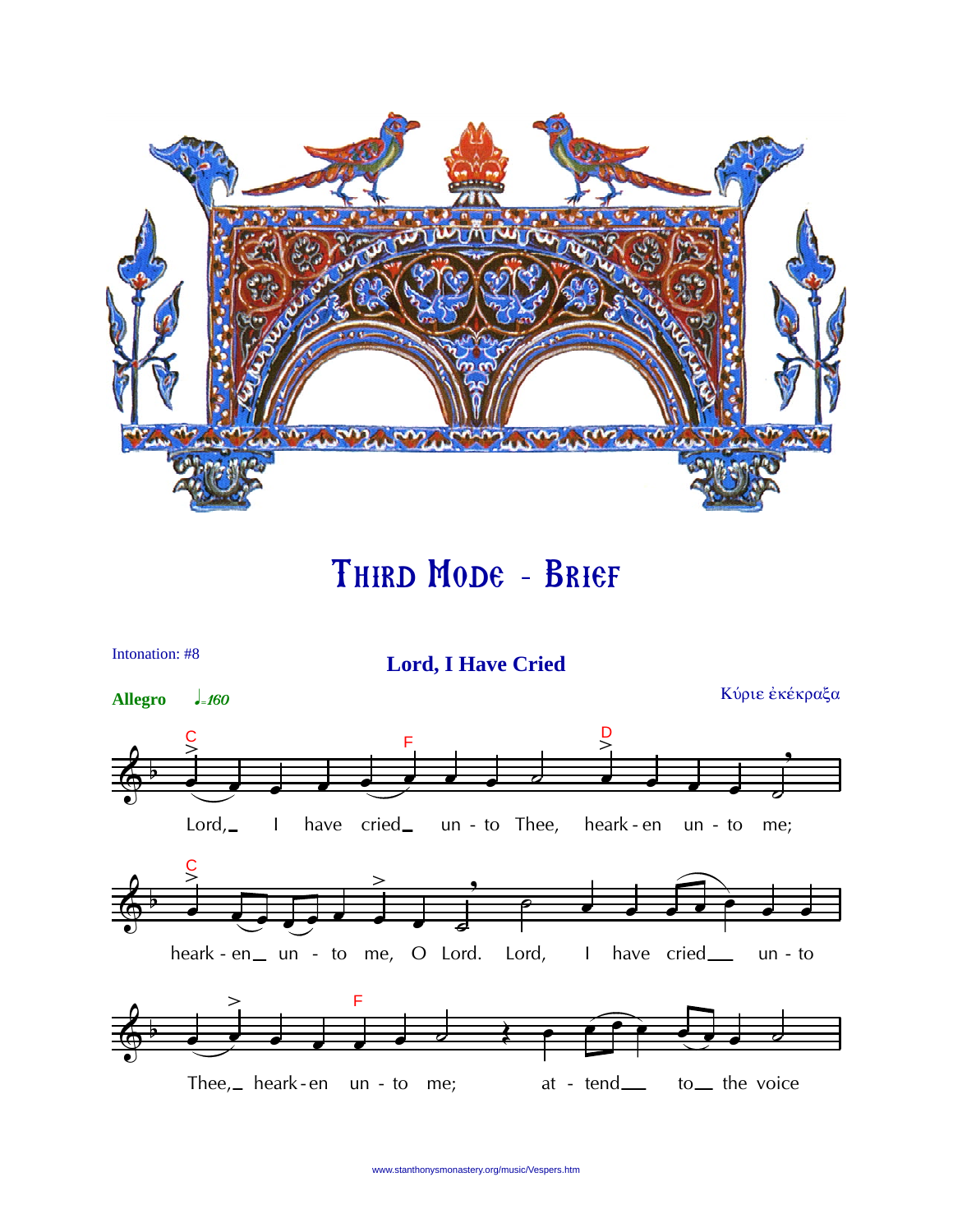

Third Mode - Brief